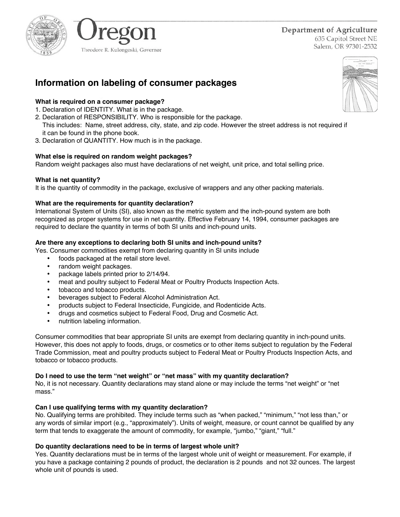



Department of Agriculture

635 Capitol Street NE Salem, OR 97301-2532

# **Information on labeling of consumer packages**

# **What is required on a consumer package?**

- 1. Declaration of IDENTITY. What is in the package.
- 2. Declaration of RESPONSIBILITY. Who is responsible for the package.
- This includes: Name, street address, city, state, and zip code. However the street address is not required if it can be found in the phone book.
- 3. Declaration of QUANTITY. How much is in the package.

## **What else is required on random weight packages?**

Random weight packages also must have declarations of net weight, unit price, and total selling price.

## **What is net quantity?**

It is the quantity of commodity in the package, exclusive of wrappers and any other packing materials.

## **What are the requirements for quantity declaration?**

International System of Units (SI), also known as the metric system and the inch-pound system are both recognized as proper systems for use in net quantity. Effective February 14, 1994, consumer packages are required to declare the quantity in terms of both SI units and inch-pound units.

## **Are there any exceptions to declaring both SI units and inch-pound units?**

Yes. Consumer commodities exempt from declaring quantity in SI units include

- foods packaged at the retail store level.
- random weight packages.
- package labels printed prior to 2/14/94.
- meat and poultry subject to Federal Meat or Poultry Products Inspection Acts.
- tobacco and tobacco products.
- beverages subject to Federal Alcohol Administration Act.
- products subject to Federal Insecticide, Fungicide, and Rodenticide Acts.
- drugs and cosmetics subject to Federal Food, Drug and Cosmetic Act.
- nutrition labeling information.

Consumer commodities that bear appropriate SI units are exempt from declaring quantity in inch-pound units. However, this does not apply to foods, drugs, or cosmetics or to other items subject to regulation by the Federal Trade Commission, meat and poultry products subject to Federal Meat or Poultry Products Inspection Acts, and tobacco or tobacco products.

#### **Do I need to use the term "net weight" or "net mass" with my quantity declaration?**

No, it is not necessary. Quantity declarations may stand alone or may include the terms "net weight" or "net mass."

## **Can I use qualifying terms with my quantity declaration?**

No. Qualifying terms are prohibited. They include terms such as "when packed," "minimum," "not less than," or any words of similar import (e.g., "approximately"). Units of weight, measure, or count cannot be qualified by any term that tends to exaggerate the amount of commodity, for example, "jumbo," "giant," "full."

## **Do quantity declarations need to be in terms of largest whole unit?**

Yes. Quantity declarations must be in terms of the largest whole unit of weight or measurement. For example, if you have a package containing 2 pounds of product, the declaration is 2 pounds and not 32 ounces. The largest whole unit of pounds is used.